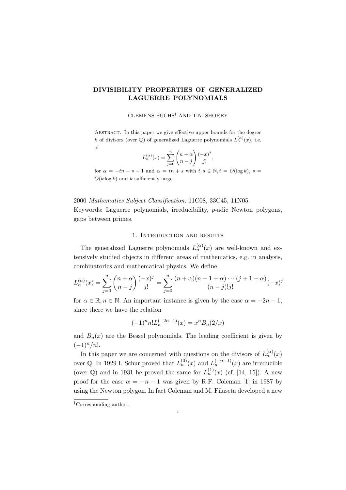# DIVISIBILITY PROPERTIES OF GENERALIZED LAGUERRE POLYNOMIALS

#### CLEMENS FUCHS† AND T.N. SHOREY

ABSTRACT. In this paper we give effective upper bounds for the degree k of divisors (over  $\mathbb{Q}$ ) of generalized Laguerre polynomials  $L_n^{(\alpha)}(x)$ , i.e. of

$$
L_n^{(\alpha)}(x) = \sum_{j=0}^n {n+\alpha \choose n-j} \frac{(-x)^j}{j!}
$$

,

for  $\alpha = -tn - s - 1$  and  $\alpha = tn + s$  with  $t, s \in \mathbb{N}, t = O(\log k), s =$  $O(k \log k)$  and k sufficiently large.

2000 *Mathematics Subject Classification:* 11C08, 33C45, 11N05. Keywords: Laguerre polynomials, irreducibility, p-adic Newton polygons, gaps between primes.

## 1. Introduction and results

The generalized Laguerre polynomials  $L_n^{(\alpha)}(x)$  are well-known and extensively studied objects in different areas of mathematics, e.g. in analysis, combinatorics and mathematical physics. We define

$$
L_n^{(\alpha)}(x) = \sum_{j=0}^n {n+\alpha \choose n-j} \frac{(-x)^j}{j!} = \sum_{j=0}^n \frac{(n+\alpha)(n-1+\alpha)\cdots(j+1+\alpha)}{(n-j)!j!} (-x)^j
$$

for  $\alpha \in \mathbb{R}, n \in \mathbb{N}$ . An important instance is given by the case  $\alpha = -2n - 1$ , since there we have the relation

$$
(-1)^n n! L_n^{(-2n-1)}(x) = x^n B_n(2/x)
$$

and  $B_n(x)$  are the Bessel polynomials. The leading coefficient is given by  $(-1)^n/n!$ .

In this paper we are concerned with questions on the divisors of  $L_n^{(\alpha)}(x)$ over Q. In 1929 I. Schur proved that  $L_n^{(0)}(x)$  and  $L_n^{(-n-1)}(x)$  are irreducible (over  $\mathbb{Q}$ ) and in 1931 he proved the same for  $L_n^{(1)}(x)$  (cf. [14, 15]). A new proof for the case  $\alpha = -n - 1$  was given by R.F. Coleman [1] in 1987 by using the Newton polygon. In fact Coleman and M. Filaseta developed a new

<sup>†</sup>Corresponding author.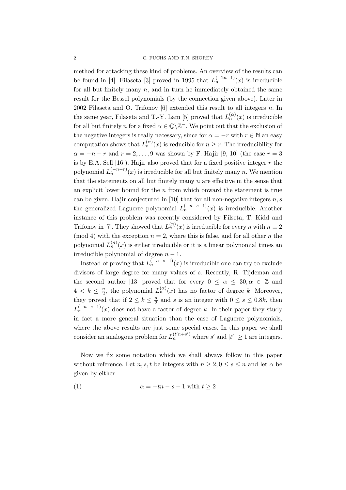method for attacking these kind of problems. An overview of the results can be found in [4]. Filaseta [3] proved in 1995 that  $L_n^{(-2n-1)}(x)$  is irreducible for all but finitely many  $n$ , and in turn he immediately obtained the same result for the Bessel polynomials (by the connection given above). Later in 2002 Filaseta and O. Trifonov  $[6]$  extended this result to all integers n. In the same year, Filaseta and T.-Y. Lam [5] proved that  $L_n^{(\alpha)}(x)$  is irreducible for all but finitely n for a fixed  $\alpha \in \mathbb{Q} \setminus \mathbb{Z}^-$ . We point out that the exclusion of the negative integers is really necessary, since for  $\alpha = -r$  with  $r \in \mathbb{N}$  an easy computation shows that  $L_n^{(\alpha)}(x)$  is reducible for  $n \geq r$ . The irreducibility for  $\alpha = -n - r$  and  $r = 2, \ldots, 9$  was shown by F. Hajir [9, 10] (the case  $r = 3$ ) is by E.A. Sell  $[16]$ ). Hajir also proved that for a fixed positive integer  $r$  the polynomial  $L_n^{(-n-r)}(x)$  is irreducible for all but finitely many n. We mention that the statements on all but finitely many  $n$  are effective in the sense that an explicit lower bound for the  $n$  from which onward the statement is true can be given. Hajir conjectured in [10] that for all non-negative integers  $n, s$ the generalized Laguerre polynomial  $L_n^{(-n-s-1)}(x)$  is irreducible. Another instance of this problem was recently considered by Filseta, T. Kidd and Trifonov in [7]. They showed that  $L_n^{(n)}(x)$  is irreducible for every n with  $n \equiv 2$ (mod 4) with the exception  $n = 2$ , where this is false, and for all other n the polynomial  $L_n^{(n)}(x)$  is either irreducible or it is a linear polynomial times an irreducible polynomial of degree  $n - 1$ .

Instead of proving that  $L_n^{(-n-s-1)}(x)$  is irreducible one can try to exclude divisors of large degree for many values of s. Recently, R. Tijdeman and the second author [13] proved that for every  $0 \leq \alpha \leq 30, \alpha \in \mathbb{Z}$  and  $4 \leq k \leq \frac{n}{2}$  $\frac{n}{2}$ , the polynomial  $L_n^{(\alpha)}(x)$  has no factor of degree k. Moreover, they proved that if  $2 \leq k \leq \frac{n}{2}$  $\frac{n}{2}$  and s is an integer with  $0 \leq s \leq 0.8k$ , then  $L_n^{(-n-s-1)}(x)$  does not have a factor of degree k. In their paper they study in fact a more general situation than the case of Laguerre polynomials, where the above results are just some special cases. In this paper we shall consider an analogous problem for  $L_n^{(t'n+s')}$  where s' and  $|t'| \geq 1$  are integers.

Now we fix some notation which we shall always follow in this paper without reference. Let n, s, t be integers with  $n \geq 2, 0 \leq s \leq n$  and let  $\alpha$  be given by either

$$
(1) \qquad \alpha = -tn - s - 1 \text{ with } t \ge 2
$$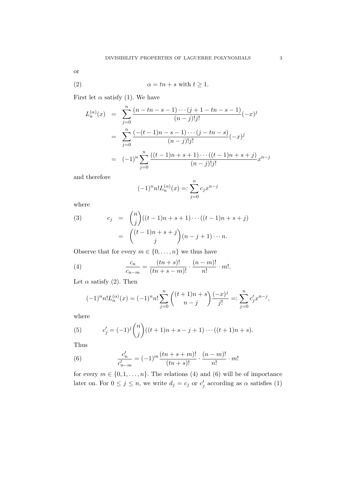or

$$
\alpha = tn + s \text{ with } t \ge 1.
$$

First let  $\alpha$  satisfy (1). We have

$$
L_n^{(\alpha)}(x) = \sum_{j=0}^n \frac{(n - tn - s - 1) \cdots (j + 1 - tn - s - 1)}{(n - j)!j!} (-x)^j
$$
  
= 
$$
\sum_{j=0}^n \frac{(-(t - 1)n - s - 1) \cdots (j - tn - s)}{(n - j)!j!} (-x)^j
$$
  
= 
$$
(-1)^n \sum_{j=0}^n \frac{((t - 1)n + s + 1) \cdots ((t - 1)n + s + j)}{(n - j)!j!} x^{n - j}
$$

and therefore

$$
(-1)^{n} n! L_{n}^{(\alpha)}(x) =: \sum_{j=0}^{n} c_{j} x^{n-j}
$$

where

(3) 
$$
c_j = {n \choose j}((t-1)n + s + 1) \cdots ((t-1)n + s + j)
$$

$$
= { (t-1)n + s + j \choose j} (n-j+1) \cdots n.
$$

Observe that for every  $m \in \{0, \ldots, n\}$  we thus have

(4) 
$$
\frac{c_n}{c_{n-m}} = \frac{(tn+s)!}{(tn+s-m)!} \cdot \frac{(n-m)!}{n!} \cdot m!.
$$

Let  $\alpha$  satisfy (2). Then

$$
(-1)^{n} n! L_{n}^{(\alpha)}(x) = (-1)^{n} n! \sum_{j=0}^{n} \binom{(t+1)n+s}{n-j} \frac{(-x)^{j}}{j!} =: \sum_{j=0}^{n} c'_{j} x^{n-j},
$$

where

(5) 
$$
c'_{j} = (-1)^{j} {n \choose j} ((t+1)n + s - j + 1) \cdots ((t+1)n + s).
$$

Thus

(6) 
$$
\frac{c'_n}{c'_{n-m}} = (-1)^m \frac{(tn+s+m)!}{(tn+s)!} \cdot \frac{(n-m)!}{n!} \cdot m!
$$

for every  $m \in \{0, 1, ..., n\}$ . The relations (4) and (6) will be of importance later on. For  $0 \leq j \leq n$ , we write  $d_j = c_j$  or  $c'_j$  according as  $\alpha$  satisfies (1)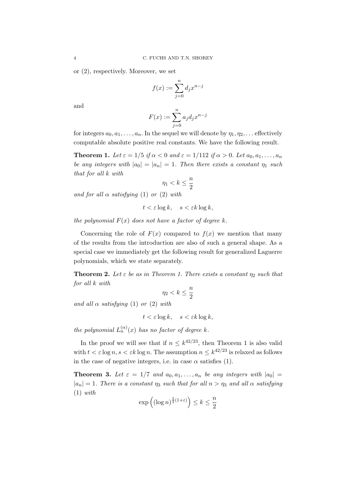or (2), respectively. Moreover, we set

$$
f(x) := \sum_{j=0}^{n} d_j x^{n-j}
$$

and

$$
F(x) := \sum_{j=0}^{n} a_j d_j x^{n-j}
$$

for integers  $a_0, a_1, \ldots, a_n$ . In the sequel we will denote by  $\eta_1, \eta_2, \ldots$  effectively computable absolute positive real constants. We have the following result.

**Theorem 1.** Let  $\varepsilon = 1/5$  if  $\alpha < 0$  and  $\varepsilon = 1/112$  if  $\alpha > 0$ . Let  $a_0, a_1, \ldots, a_n$ *be any integers with*  $|a_0| = |a_n| = 1$ . Then there exists a constant  $\eta_1$  such *that for all* k *with*

$$
\eta_1 < k \le \frac{n}{2}
$$

*and for all*  $\alpha$  *satisfying* (1) *or* (2) *with* 

$$
t < \varepsilon \log k, \quad s < \varepsilon k \log k,
$$

*the polynomial*  $F(x)$  *does not have a factor of degree*  $k$ *.* 

Concerning the role of  $F(x)$  compared to  $f(x)$  we mention that many of the results from the introduction are also of such a general shape. As a special case we immediately get the following result for generalized Laguerre polynomials, which we state separately.

**Theorem 2.** Let  $\varepsilon$  be as in Theorem 1. There exists a constant  $\eta_2$  such that *for all* k *with*

$$
\eta_2 < k \le \frac{n}{2}
$$

*and all*  $\alpha$  *satisfying* (1) *or* (2) *with* 

$$
t < \varepsilon \log k, \quad s < \varepsilon k \log k,
$$

*the polynomial*  $L_n^{(\alpha)}(x)$  *has no factor of degree* k.

In the proof we will see that if  $n \leq k^{42/23}$ , then Theorem 1 is also valid with  $t < \varepsilon \log n$ ,  $s < \varepsilon k \log n$ . The assumption  $n \leq k^{42/23}$  is relaxed as follows in the case of negative integers, i.e. in case  $\alpha$  satisfies (1).

**Theorem 3.** Let  $\varepsilon = 1/7$  and  $a_0, a_1, \ldots, a_n$  be any integers with  $|a_0|$  =  $|a_n| = 1$ *. There is a constant*  $\eta_3$  *such that for all*  $n > \eta_3$  *and all*  $\alpha$  *satisfying* (1) *with*

$$
\exp\left((\log n)^{\frac{2}{3}(1+\varepsilon)}\right) \leq k \leq \frac{n}{2}
$$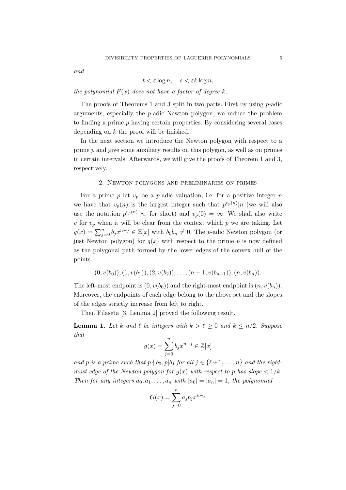*and*

$$
t < \varepsilon \log n, \quad s < \varepsilon k \log n,
$$

*the polynomial*  $F(x)$  *does not have a factor of degree*  $k$ *.* 

The proofs of Theorems 1 and 3 split in two parts. First by using p-adic arguments, especially the p-adic Newton polygon, we reduce the problem to finding a prime  $p$  having certain properties. By considering several cases depending on  $k$  the proof will be finished.

In the next section we introduce the Newton polygon with respect to a prime p and give some auxiliary results on this polygon, as well as on primes in certain intervals. Afterwards, we will give the proofs of Theorem 1 and 3, respectively.

## 2. Newton polygons and preliminaries on primes

For a prime p let  $v_p$  be a p-adic valuation, i.e. for a positive integer n we have that  $v_p(n)$  is the largest integer such that  $p^{v_p(n)}|n$  (we will also use the notation  $p^{v_p(n)}||n$ , for short) and  $v_p(0) = \infty$ . We shall also write v for  $v_p$  when it will be clear from the context which p we are taking. Let  $g(x) = \sum_{j=0}^{n} b_j x^{n-j} \in \mathbb{Z}[x]$  with  $b_0 b_n \neq 0$ . The *p*-adic Newton polygon (or just Newton polygon) for  $g(x)$  with respect to the prime p is now defined as the polygonal path formed by the lower edges of the convex hull of the points

$$
(0, v(b_0)), (1, v(b_1)), (2, v(b_2)), \ldots, (n-1, v(b_{n-1})), (n, v(b_n)).
$$

The left-most endpoint is  $(0, v(b_0))$  and the right-most endpoint is  $(n, v(b_n))$ . Moreover, the endpoints of each edge belong to the above set and the slopes of the edges strictly increase from left to right.

Then Filaseta [3, Lemma 2] proved the following result.

**Lemma 1.** Let k and  $\ell$  be integers with  $k > \ell \geq 0$  and  $k \leq n/2$ . Suppose *that*

$$
g(x) = \sum_{j=0}^{n} b_j x^{n-j} \in \mathbb{Z}[x]
$$

*and* p *is a prime such that*  $p \nmid b_0, p | b_j$  *for all*  $j \in \{ \ell + 1, ..., n \}$  *and the rightmost edge of the Newton polygon for*  $g(x)$  *with respect to* p has slope  $\lt 1/k$ . *Then for any integers*  $a_0, a_1, \ldots, a_n$  *with*  $|a_0| = |a_n| = 1$ *, the polynomial* 

$$
G(x) = \sum_{j=0}^{n} a_j b_j x^{n-j}
$$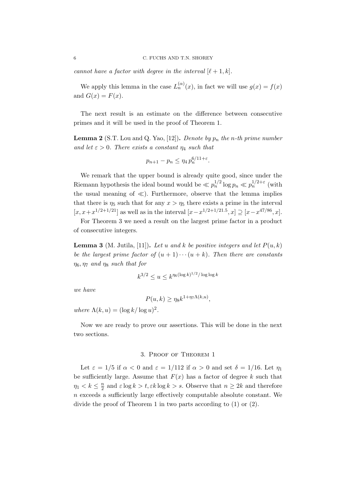*cannot have a factor with degree in the interval*  $[\ell + 1, k]$ *.* 

We apply this lemma in the case  $L_n^{(\alpha)}(x)$ , in fact we will use  $g(x) = f(x)$ and  $G(x) = F(x)$ .

The next result is an estimate on the difference between consecutive primes and it will be used in the proof of Theorem 1.

**Lemma 2** (S.T. Lou and Q. Yao, [12]). *Denote by*  $p_n$  *the n*-*th* prime number *and let*  $\varepsilon > 0$ *. There exists a constant*  $\eta_4$  *such that* 

$$
p_{n+1} - p_n \le \eta_4 \, p_n^{6/11 + \varepsilon}.
$$

We remark that the upper bound is already quite good, since under the Riemann hypothesis the ideal bound would be  $\ll p_n^{1/2} \log p_n \ll p_n^{1/2+\varepsilon}$  (with the usual meaning of  $\ll$ ). Furthermore, observe that the lemma implies that there is  $\eta_5$  such that for any  $x > \eta_5$  there exists a prime in the interval [ $x, x+x^{1/2+1/21}$ ] as well as in the interval [ $x-x^{1/2+1/21.5}, x$ ] ⊇ [ $x-x^{47/86}, x$ ].

For Theorem 3 we need a result on the largest prime factor in a product of consecutive integers.

**Lemma 3** (M. Jutila, [11]). Let u and k be positive integers and let  $P(u, k)$ *be the largest prime factor of*  $(u + 1) \cdots (u + k)$ *. Then there are constants*  $\eta_6$ ,  $\eta_7$  *and*  $\eta_8$  *such that for* 

$$
k^{3/2} \le u \le k^{\eta_6 (\log k)^{1/2} / \log \log k}
$$

*we have*

$$
P(u,k) \ge \eta_8 k^{1+\eta_7 \Lambda(k,u)},
$$

*where*  $\Lambda(k, u) = (\log k / \log u)^2$ .

Now we are ready to prove our assertions. This will be done in the next two sections.

## 3. Proof of Theorem 1

Let  $\varepsilon = 1/5$  if  $\alpha < 0$  and  $\varepsilon = 1/112$  if  $\alpha > 0$  and set  $\delta = 1/16$ . Let  $\eta_1$ be sufficiently large. Assume that  $F(x)$  has a factor of degree k such that  $\eta_1 < k \leq \frac{n}{2}$  $\frac{n}{2}$  and  $\varepsilon \log k > t, \varepsilon k \log k > s$ . Observe that  $n \geq 2k$  and therefore  $n$  exceeds a sufficiently large effectively computable absolute constant. We divide the proof of Theorem 1 in two parts according to (1) or (2).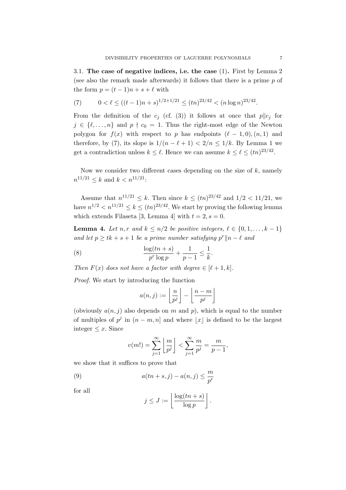3.1. The case of negative indices, i.e. the case  $(1)$ . First by Lemma 2 (see also the remark made afterwards) it follows that there is a prime  $p$  of the form  $p = (t-1)n + s + \ell$  with

(7) 
$$
0 < \ell \le ((t-1)n + s)^{1/2 + 1/21} \le (tn)^{23/42} < (n \log n)^{23/42}.
$$

From the definition of the  $c_j$  (cf. (3)) it follows at once that  $p||c_j$  for  $j \in \{\ell, \ldots, n\}$  and  $p \nmid c_0 = 1$ . Thus the right-most edge of the Newton polygon for  $f(x)$  with respect to p has endpoints  $(\ell-1,0), (n,1)$  and therefore, by (7), its slope is  $1/(n - \ell + 1) < 2/n \leq 1/k$ . By Lemma 1 we get a contradiction unless  $k \leq \ell$ . Hence we can assume  $k \leq \ell \leq (tn)^{23/42}$ .

Now we consider two different cases depending on the size of  $k$ , namely  $n^{11/21} \leq k$  and  $k < n^{11/21}$ :

Assume that  $n^{11/21} \leq k$ . Then since  $k \leq (tn)^{23/42}$  and  $1/2 < 11/21$ , we have  $n^{1/2} < n^{11/21} \le k \le (tn)^{23/42}$ . We start by proving the following lemma which extends Filaseta [3, Lemma 4] with  $t = 2$ ,  $s = 0$ .

**Lemma 4.** Let n, r and  $k \leq n/2$  be positive integers,  $\ell \in \{0, 1, \ldots, k-1\}$ *and let*  $p \geq tk + s + 1$  *be a prime number satisfying*  $p^r || n - \ell$  *and* 

(8) 
$$
\frac{\log(tn+s)}{p^r \log p} + \frac{1}{p-1} \leq \frac{1}{k}.
$$

*Then*  $F(x)$  *does not have a factor with degree*  $\in [\ell + 1, k]$ *.* 

*Proof.* We start by introducing the function

$$
a(n,j) := \left\lfloor \frac{n}{p^j} \right\rfloor - \left\lfloor \frac{n-m}{p^j} \right\rfloor
$$

(obviously  $a(n, j)$  also depends on m and p), which is equal to the number of multiples of  $p^j$  in  $(n - m, n]$  and where  $\lfloor x \rfloor$  is defined to be the largest integer  $\leq x$ . Since

$$
v(m!) = \sum_{j=1}^{\infty} \left\lfloor \frac{m}{p^j} \right\rfloor < \sum_{j=1}^{\infty} \frac{m}{p^j} = \frac{m}{p-1},
$$

we show that it suffices to prove that

(9) 
$$
a(tn+s,j) - a(n,j) \leq \frac{m}{p^r}
$$

for all

$$
j \le J := \left\lfloor \frac{\log(tn+s)}{\log p} \right\rfloor.
$$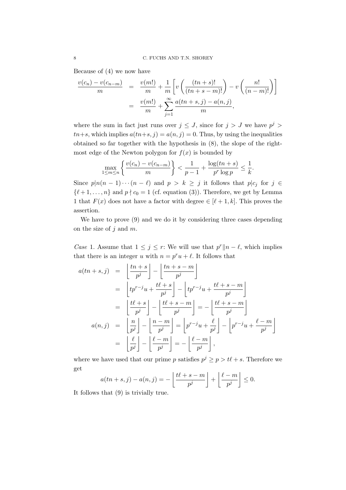Because of (4) we now have

$$
\frac{v(c_n) - v(c_{n-m})}{m} = \frac{v(m!)}{m} + \frac{1}{m} \left[ v \left( \frac{(tn+s)!}{(tn+s-m)!} \right) - v \left( \frac{n!}{(n-m)!} \right) \right]
$$

$$
= \frac{v(m!)}{m} + \sum_{j=1}^{\infty} \frac{a(tn+s,j) - a(n,j)}{m},
$$

where the sum in fact just runs over  $j \leq J$ , since for  $j > J$  we have  $p^{j} > J$  $t_{n+s}$ , which implies  $a(t_{n+s}, j) = a(n, j) = 0$ . Thus, by using the inequalities obtained so far together with the hypothesis in (8), the slope of the rightmost edge of the Newton polygon for  $f(x)$  is bounded by

$$
\max_{1 \le m \le n} \left\{ \frac{v(c_n) - v(c_{n-m})}{m} \right\} < \frac{1}{p-1} + \frac{\log(tn+s)}{p^r \log p} \le \frac{1}{k}.
$$

Since  $p|n(n-1)\cdots(n-\ell)$  and  $p > k \geq j$  it follows that  $p|c_j$  for  $j \in$  $\{\ell+1,\ldots,n\}$  and  $p \nmid c_0 = 1$  (cf. equation (3)). Therefore, we get by Lemma 1 that  $F(x)$  does not have a factor with degree  $\in [\ell + 1, k]$ . This proves the assertion.

We have to prove (9) and we do it by considering three cases depending on the size of  $j$  and  $m$ .

*Case* 1. Assume that  $1 \leq j \leq r$ : We will use that  $p^r || n - \ell$ , which implies that there is an integer u with  $n = p^r u + \ell$ . It follows that

$$
a(tn+s,j) = \left\lfloor \frac{tn+s}{p^j} \right\rfloor - \left\lfloor \frac{tn+s-m}{p^j} \right\rfloor
$$
  
\n
$$
= \left\lfloor tp^{r-j}u + \frac{t\ell+s}{p^j} \right\rfloor - \left\lfloor tp^{r-j}u + \frac{t\ell+s-m}{p^j} \right\rfloor
$$
  
\n
$$
= \left\lfloor \frac{t\ell+s}{p^j} \right\rfloor - \left\lfloor \frac{t\ell+s-m}{p^j} \right\rfloor = -\left\lfloor \frac{t\ell+s-m}{p^j} \right\rfloor
$$
  
\n
$$
a(n,j) = \left\lfloor \frac{n}{p^j} \right\rfloor - \left\lfloor \frac{n-m}{p^j} \right\rfloor = \left\lfloor p^{r-j}u + \frac{\ell}{p^j} \right\rfloor - \left\lfloor p^{r-j}u + \frac{\ell-m}{p^j} \right\rfloor
$$
  
\n
$$
= \left\lfloor \frac{\ell}{p^j} \right\rfloor - \left\lfloor \frac{\ell-m}{p^j} \right\rfloor = -\left\lfloor \frac{\ell-m}{p^j} \right\rfloor,
$$

where we have used that our prime p satisfies  $p^j \geq p > t\ell + s$ . Therefore we get

$$
a(tn+s,j) - a(n,j) = -\left\lfloor \frac{t\ell+s-m}{p^j} \right\rfloor + \left\lfloor \frac{\ell-m}{p^j} \right\rfloor \le 0.
$$

It follows that (9) is trivially true.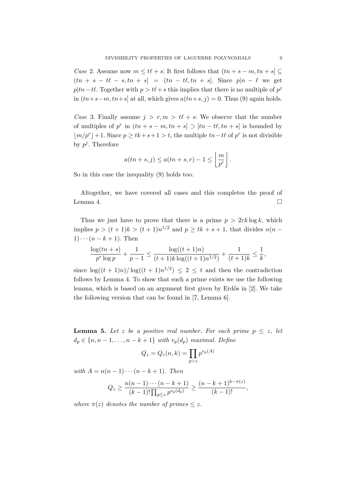*Case* 2. Assume now  $m \leq t\ell + s$ : It first follows that  $(tn + s - m, tn + s] \subseteq$  $(tn + s - t\ell - s, tn + s) = (tn - t\ell, tn + s)$ . Since  $p|n - \ell$  we get  $p|tn-t\ell$ . Together with  $p > t\ell + s$  this implies that there is no multiple of  $p^j$ in  $(tn+s-m, tn+s]$  at all, which gives  $a(tn+s, j) = 0$ . Thus (9) again holds.

*Case* 3. Finally assume  $j > r, m > t\ell + s$ : We observe that the number of multiples of p<sup>r</sup> in  $(tn + s - m, tn + s] \supset [tn - t\ell, tn + s]$  is bounded by  $\lfloor m/p^r \rfloor + 1$ . Since  $p \ge tk + s + 1 > t$ , the multiple  $tn - t\ell$  of  $p^r$  is not divisible by  $p^j$ . Therefore

$$
a(tn+s,j) \le a(tn+s,r) - 1 \le \left\lfloor \frac{m}{p^r} \right\rfloor.
$$

So in this case the inequality (9) holds too.

Altogether, we have covered all cases and this completes the proof of Lemma 4.  $\Box$ 

Thus we just have to prove that there is a prime  $p > 2\varepsilon k \log k$ , which implies  $p > (t+1)k > (t+1)n^{1/2}$  and  $p \ge tk + s + 1$ , that divides  $n(n - 1)$  $1)\cdots(n-k+1)$ . Then

$$
\frac{\log(tn+s)}{p^r\log p} + \frac{1}{p-1} \le \frac{\log((t+1)n)}{(t+1)k\log((t+1)n^{1/2})} + \frac{1}{(t+1)k} \le \frac{1}{k},
$$

since  $\log((t+1)n)/\log((t+1)n^{1/2}) \leq 2 \leq t$  and then the contradiction follows by Lemma 4. To show that such a prime exists we use the following lemma, which is based on an argument first given by Erdős in [2]. We take the following version that can be found in [7, Lemma 6].

**Lemma 5.** Let z be a positive real number. For each prime  $p \leq z$ , let  $d_p ∈ {n, n-1, ..., n-k+1}$  *with*  $v_p(d_p)$  *maximal. Define* 

$$
Q_z = Q_z(n,k) = \prod_{p>z} p^{v_p(A)}
$$

*with*  $A = n(n - 1) \cdots (n - k + 1)$ *. Then* 

$$
Q_z \ge \frac{n(n-1)\cdots(n-k+1)}{(k-1)!\prod_{p\le z}p^{v_p(d_p)}} \ge \frac{(n-k+1)^{k-\pi(z)}}{(k-1)!},
$$

*where*  $\pi(z)$  *denotes the number of primes*  $\leq z$ *.*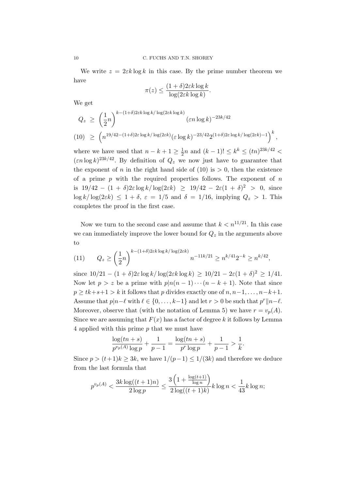We write  $z = 2\varepsilon k \log k$  in this case. By the prime number theorem we have

$$
\pi(z) \le \frac{(1+\delta)2\varepsilon k \log k}{\log(2\varepsilon k \log k)}.
$$

We get

$$
Q_z \ge \left(\frac{1}{2}n\right)^{k-(1+\delta)2\varepsilon k \log k/\log(2\varepsilon k \log k)} (\varepsilon n \log k)^{-23k/42}
$$
  
(10) 
$$
\ge \left(n^{19/42-(1+\delta)2\varepsilon \log k/\log(2\varepsilon k)} (\varepsilon \log k)^{-23/42} 2^{(1+\delta)2\varepsilon \log k/\log(2\varepsilon k) - 1}\right)^k,
$$

where we have used that  $n - k + 1 \geq \frac{1}{2}$  $\frac{1}{2}n$  and  $(k-1)! \leq k^k \leq (tn)^{23k/42}$  $(\varepsilon n \log k)^{23k/42}$ . By definition of  $Q_z$  we now just have to guarantee that the exponent of n in the right hand side of (10) is  $> 0$ , then the existence of a prime  $p$  with the required properties follows. The exponent of  $n$ is  $19/42 - (1 + \delta)2\varepsilon \log k / \log(2\varepsilon k) \geq 19/42 - 2\varepsilon (1 + \delta)^2 > 0$ , since  $\log k / \log(2\varepsilon k) \leq 1 + \delta$ ,  $\varepsilon = 1/5$  and  $\delta = 1/16$ , implying  $Q_z > 1$ . This completes the proof in the first case.

Now we turn to the second case and assume that  $k < n^{11/21}$ . In this case we can immediately improve the lower bound for  $Q_z$  in the arguments above to

(11) 
$$
Q_z \ge \left(\frac{1}{2}n\right)^{k-(1+\delta)2\varepsilon k \log k/\log(2\varepsilon k)} n^{-11k/21} \ge n^{k/41}2^{-k} \ge n^{k/42},
$$

since  $10/21 - (1 + \delta)2\varepsilon \log k / \log(2\varepsilon k \log k) \ge 10/21 - 2\varepsilon (1 + \delta)^2 \ge 1/41$ . Now let  $p > z$  be a prime with  $p|n(n-1)\cdots(n-k+1)$ . Note that since  $p \geq tk+s+1 > k$  it follows that p divides exactly one of  $n, n-1, \ldots, n-k+1$ . Assume that  $p|n-\ell$  with  $\ell \in \{0,\ldots,k-1\}$  and let  $r > 0$  be such that  $p^r||n-\ell$ . Moreover, observe that (with the notation of Lemma 5) we have  $r = v_p(A)$ . Since we are assuming that  $F(x)$  has a factor of degree k it follows by Lemma 4 applied with this prime  $p$  that we must have

$$
\frac{\log(tn+s)}{p^{v_p(A)}\log p} + \frac{1}{p-1} = \frac{\log(tn+s)}{p^r\log p} + \frac{1}{p-1} > \frac{1}{k}.
$$

Since  $p > (t+1)k \geq 3k$ , we have  $1/(p-1) \leq 1/(3k)$  and therefore we deduce from the last formula that

$$
p^{v_p(A)} < \frac{3k \log((t+1)n)}{2 \log p} \le \frac{3\left(1 + \frac{\log(t+1)}{\log n}\right)}{2 \log((t+1)k)} k \log n < \frac{1}{43} k \log n;
$$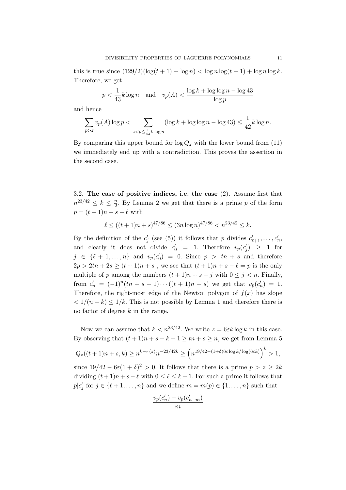this is true since  $(129/2)(\log(t+1)+\log n) < \log n \log(t+1) + \log n \log k$ . Therefore, we get

$$
p < \frac{1}{43}k\log n \quad \text{and} \quad v_p(A) < \frac{\log k + \log \log n - \log 43}{\log p}
$$

and hence

$$
\sum_{p>z} v_p(A) \log p < \sum_{z < p \le \frac{1}{43}k \log n} (\log k + \log \log n - \log 43) \le \frac{1}{42} k \log n.
$$

By comparing this upper bound for  $\log Q_z$  with the lower bound from (11) we immediately end up with a contradiction. This proves the assertion in the second case.

3.2. The case of positive indices, i.e. the case (2). Assume first that  $n^{23/42} \leq k \leq \frac{n}{2}$  $\frac{n}{2}$ . By Lemma 2 we get that there is a prime p of the form  $p = (t + 1)n + s - \ell$  with

$$
\ell \le ((t+1)n + s)^{47/86} \le (3n \log n)^{47/86} < n^{23/42} \le k.
$$

By the definition of the  $c'_j$  (see (5)) it follows that p divides  $c'_{\ell+1}, \ldots, c'_n$ , and clearly it does not divide  $c'_0$  = 1. Therefore  $v_p(c'_j) \ge 1$  for  $j \in \{\ell+1,\ldots,n\}$  and  $v_p(c'_0) = 0$ . Since  $p > tn + s$  and therefore  $2p > 2tn + 2s \ge (t + 1)n + s$ , we see that  $(t + 1)n + s - \ell = p$  is the only multiple of p among the numbers  $(t + 1)n + s - j$  with  $0 \le j \le n$ . Finally, from  $c'_n = (-1)^n(tn + s + 1) \cdots ((t + 1)n + s)$  we get that  $v_p(c'_n) = 1$ . Therefore, the right-most edge of the Newton polygon of  $f(x)$  has slope  $\langle 1/(n-k) \leq 1/k$ . This is not possible by Lemma 1 and therefore there is no factor of degree  $k$  in the range.

Now we can assume that  $k < n^{23/42}$ . We write  $z = 6\varepsilon k \log k$  in this case. By observing that  $(t + 1)n + s - k + 1 \ge tn + s \ge n$ , we get from Lemma 5

$$
Q_z((t+1)n+s,k) \ge n^{k-\pi(z)}n^{-23/42k} \ge \left(n^{19/42 - (1+\delta)6\varepsilon \log k/\log(6\varepsilon k)}\right)^k > 1,
$$

since  $19/42 - 6\varepsilon(1 + \delta)^2 > 0$ . It follows that there is a prime  $p > z \geq 2k$ dividing  $(t+1)n + s - \ell$  with  $0 \leq \ell \leq k-1$ . For such a prime it follows that  $p|c'_j$  for  $j \in \{\ell+1,\ldots,n\}$  and we define  $m = m(p) \in \{1,\ldots,n\}$  such that

$$
\frac{v_p(c'_n) - v_p(c'_{n-m})}{m}
$$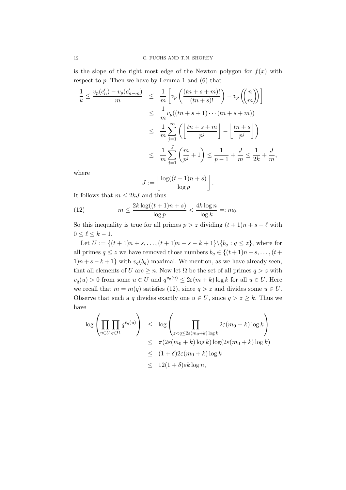is the slope of the right most edge of the Newton polygon for  $f(x)$  with respect to  $p$ . Then we have by Lemma 1 and  $(6)$  that

$$
\frac{1}{k} \le \frac{v_p(c'_n) - v_p(c'_{n-m})}{m} \le \frac{1}{m} \left[ v_p\left(\frac{(tn+s+m)!}{(tn+s)!}\right) - v_p\left(\binom{n}{m}\right) \right]
$$
\n
$$
\le \frac{1}{m} v_p((tn+s+1)\cdots(tn+s+m))
$$
\n
$$
\le \frac{1}{m} \sum_{j=1}^{\infty} \left( \left\lfloor \frac{tn+s+m}{p^j} \right\rfloor - \left\lfloor \frac{tn+s}{p^j} \right\rfloor \right)
$$
\n
$$
\le \frac{1}{m} \sum_{j=1}^{J} \left( \frac{m}{p^j} + 1 \right) \le \frac{1}{p-1} + \frac{J}{m} \le \frac{1}{2k} + \frac{J}{m},
$$

where

$$
J := \left\lfloor \frac{\log((t+1)n + s)}{\log p} \right\rfloor.
$$

It follows that  $m \leq 2kJ$  and thus

(12) 
$$
m \le \frac{2k \log((t+1)n+s)}{\log p} < \frac{4k \log n}{\log k} =: m_0.
$$

So this inequality is true for all primes  $p > z$  dividing  $(t + 1)n + s - \ell$  with  $0 \leq \ell \leq k-1$ .

Let  $U := \{(t+1)n + s, \ldots, (t+1)n + s - k + 1\} \setminus \{b_q : q \leq z\}$ , where for all primes  $q \leq z$  we have removed those numbers  $b_q \in \{(t+1)n + s, \ldots, (t+1)n + s, \ldots, (t+1)n + s + s\}$  $1(n + s - k + 1)$  with  $v_q(b_q)$  maximal. We mention, as we have already seen, that all elements of U are  $\geq n$ . Now let  $\Omega$  be the set of all primes  $q > z$  with  $v_q(u) > 0$  from some  $u \in U$  and  $q^{v_q(u)} \leq 2\varepsilon(m+k) \log k$  for all  $u \in U$ . Here we recall that  $m = m(q)$  satisfies (12), since  $q > z$  and divides some  $u \in U$ . Observe that such a q divides exactly one  $u \in U$ , since  $q > z \geq k$ . Thus we have

$$
\log \left( \prod_{u \in U} \prod_{q \in \Omega} q^{v_q(u)} \right) \leq \log \left( \prod_{z < q \leq 2\varepsilon(m_0 + k) \log k} 2\varepsilon(m_0 + k) \log k \right)
$$
\n
$$
\leq \pi (2\varepsilon(m_0 + k) \log k) \log(2\varepsilon(m_0 + k) \log k)
$$
\n
$$
\leq (1 + \delta)2\varepsilon(m_0 + k) \log k
$$
\n
$$
\leq 12(1 + \delta)\varepsilon k \log n,
$$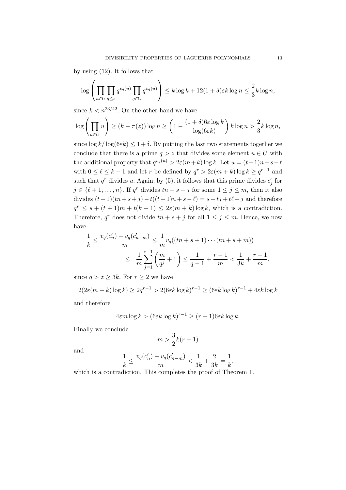by using (12). It follows that

$$
\log \left( \prod_{u \in U} \prod_{q \le z} q^{v_q(u)} \prod_{q \in \Omega} q^{v_q(u)} \right) \le k \log k + 12(1+\delta) \varepsilon k \log n \le \frac{2}{3} k \log n,
$$

since  $k < n^{23/42}$ . On the other hand we have

$$
\log \left( \prod_{u \in U} u \right) \ge (k - \pi(z)) \log n \ge \left( 1 - \frac{(1 + \delta) 6\varepsilon \log k}{\log(6\varepsilon k)} \right) k \log n > \frac{2}{3} k \log n,
$$

since  $\log k / \log(6\epsilon k) \leq 1+\delta$ . By putting the last two statements together we conclude that there is a prime  $q > z$  that divides some element  $u \in U$  with the additional property that  $q^{v_q(u)} > 2\varepsilon(m+k) \log k$ . Let  $u = (t+1)n + s - \ell$ with  $0 \leq \ell \leq k-1$  and let r be defined by  $q^r > 2\varepsilon(m+k) \log k \geq q^{r-1}$  and such that  $q^r$  divides u. Again, by (5), it follows that this prime divides  $c'_j$  for  $j \in \{\ell+1,\ldots,n\}$ . If  $q^r$  divides  $tn+s+j$  for some  $1 \leq j \leq m$ , then it also divides  $(t+1)(tn+s+j) - t((t+1)n+s-\ell) = s+tj+t\ell+j$  and therefore  $q^r \leq s + (t+1)m + t(k-1) \leq 2\varepsilon(m+k) \log k$ , which is a contradiction. Therefore,  $q^r$  does not divide  $tn + s + j$  for all  $1 \leq j \leq m$ . Hence, we now have

$$
\frac{1}{k} \le \frac{v_q(c'_n) - v_q(c'_{n-m})}{m} \le \frac{1}{m} v_q((tn+s+1)\cdots(tn+s+m))
$$
  

$$
\le \frac{1}{m} \sum_{j=1}^{r-1} \left(\frac{m}{q^j} + 1\right) \le \frac{1}{q-1} + \frac{r-1}{m} < \frac{1}{3k} + \frac{r-1}{m},
$$

since  $q > z > 3k$ . For  $r > 2$  we have

 $2(2\varepsilon(m+k)\log k)\geq 2q^{r-1}>2(6\varepsilon k\log k)^{r-1}\geq (6\varepsilon k\log k)^{r-1}+4\varepsilon k\log k$ 

and therefore

$$
4\varepsilon m \log k > (6\varepsilon k \log k)^{r-1} \ge (r-1)6\varepsilon k \log k.
$$

Finally we conclude

$$
m > \frac{3}{2}k(r-1)
$$

and

$$
\frac{1}{k} \leq \frac{v_q(c'_n) - v_q(c'_{n-m})}{m} < \frac{1}{3k} + \frac{2}{3k} = \frac{1}{k},
$$

which is a contradiction. This completes the proof of Theorem 1.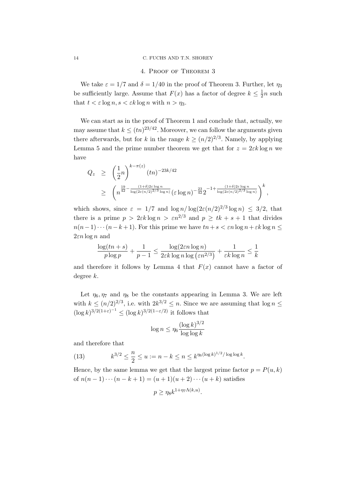## 14 C. FUCHS AND T.N. SHOREY

## 4. Proof of Theorem 3

We take  $\varepsilon = 1/7$  and  $\delta = 1/40$  in the proof of Theorem 3. Further, let  $\eta_3$ be sufficiently large. Assume that  $F(x)$  has a factor of degree  $k \leq \frac{1}{2}$  $\frac{1}{2}n$  such that  $t < \varepsilon \log n$ ,  $s < \varepsilon k \log n$  with  $n > \eta_3$ .

We can start as in the proof of Theorem 1 and conclude that, actually, we may assume that  $k \leq (tn)^{23/42}$ . Moreover, we can follow the arguments given there afterwards, but for k in the range  $k \geq (n/2)^{2/3}$ . Namely, by applying Lemma 5 and the prime number theorem we get that for  $z = 2\varepsilon k \log n$  we have

$$
Q_z \geq \left(\frac{1}{2}n\right)^{k-\pi(z)} (tn)^{-23k/42}
$$
  
 
$$
\geq \left(n^{\frac{19}{42} - \frac{(1+\delta)2\varepsilon \log n}{\log(2\varepsilon(n/2)^{2/3} \log n)}} (\varepsilon \log n)^{-\frac{23}{42}} 2^{-1 + \frac{(1+\delta)2\varepsilon \log n}{\log(2\varepsilon(n/2)^{2/3} \log n)}}\right)^k,
$$

which shows, since  $\varepsilon = 1/7$  and  $\log n / \log(2\varepsilon (n/2)^{2/3} \log n) \leq 3/2$ , that there is a prime  $p > 2\varepsilon k \log n > \varepsilon n^{2/3}$  and  $p \geq tk + s + 1$  that divides  $n(n-1)\cdots(n-k+1)$ . For this prime we have  $tn+s < \varepsilon n \log n + \varepsilon k \log n \le$  $2\varepsilon n \log n$  and

$$
\frac{\log(tn+s)}{p\log p} + \frac{1}{p-1} \le \frac{\log(2\epsilon n \log n)}{2\epsilon k \log n \log (\epsilon n^{2/3})} + \frac{1}{\epsilon k \log n} \le \frac{1}{k}
$$

and therefore it follows by Lemma 4 that  $F(x)$  cannot have a factor of degree k.

Let  $\eta_6, \eta_7$  and  $\eta_8$  be the constants appearing in Lemma 3. We are left with  $k \leq (n/2)^{2/3}$ , i.e. with  $2k^{3/2} \leq n$ . Since we are assuming that  $\log n \leq$  $(\log k)^{3/2(1+\varepsilon)^{-1}} \leq (\log k)^{3/2(1-\varepsilon/2)}$  it follows that

$$
\log n \le \eta_6 \frac{(\log k)^{3/2}}{\log \log k}
$$

and therefore that

(13) 
$$
k^{3/2} \leq \frac{n}{2} \leq u := n - k \leq n \leq k^{\eta_6 (\log k)^{1/2} / \log \log k}
$$

Hence, by the same lemma we get that the largest prime factor  $p = P(u, k)$ of  $n(n-1)\cdots(n-k+1) = (u+1)(u+2)\cdots(u+k)$  satisfies

.

$$
p \ge \eta_8 k^{1 + \eta_7 \Lambda(k, u)}.
$$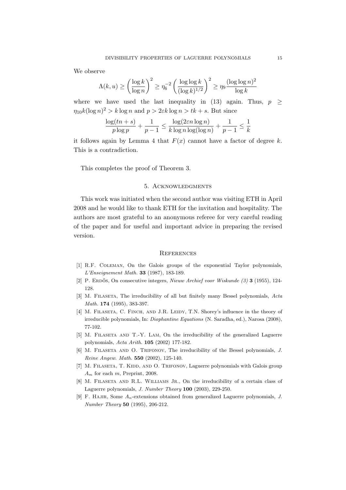We observe

$$
\Lambda(k, u) \ge \left(\frac{\log k}{\log n}\right)^2 \ge \eta_6^{-2} \left(\frac{\log \log k}{(\log k)^{1/2}}\right)^2 \ge \eta_9 \frac{(\log \log n)^2}{\log k}
$$

where we have used the last inequality in (13) again. Thus,  $p \geq$  $\eta_{10} k(\log n)^2 > k \log n$  and  $p > 2\varepsilon k \log n > tk + s$ . But since

$$
\frac{\log(tn+s)}{p\log p} + \frac{1}{p-1} \le \frac{\log(2\epsilon n \log n)}{k \log n \log(\log n)} + \frac{1}{p-1} \le \frac{1}{k}
$$

it follows again by Lemma 4 that  $F(x)$  cannot have a factor of degree k. This is a contradiction.

This completes the proof of Theorem 3.

## 5. Acknowledgments

This work was initiated when the second author was visiting ETH in April 2008 and he would like to thank ETH for the invitation and hospitality. The authors are most grateful to an anonymous referee for very careful reading of the paper and for useful and important advice in preparing the revised version.

## **REFERENCES**

- [1] R.F. Coleman, On the Galois groups of the exponential Taylor polynomials, L'Enseignement Math. 33 (1987), 183-189.
- [2] P. ERDŐS, On consecutive integers, Nieuw Archief voor Wiskunde  $(3)$  3 (1955), 124-128.
- [3] M. FILASETA, The irreducibility of all but finitely many Bessel polynomials, Acta Math. 174 (1995), 383-397.
- [4] M. FILASETA, C. FINCH, AND J.R. LEIDY, T.N. Shorey's influence in the theory of irreducible polynomials, In: Diophantine Equations (N. Saradha, ed.), Narosa (2008), 77-102.
- [5] M. Filaseta and T.-Y. Lam, On the irreducibility of the generalized Laguerre polynomials, Acta Arith. 105 (2002) 177-182.
- [6] M. FILASETA AND O. TRIFONOV, The irreducibility of the Bessel polynomials, J. Reine Angew. Math. 550 (2002), 125-140.
- [7] M. FILASETA, T. KIDD, AND O. TRIFONOV, Laguerre polynomials with Galois group  $A_m$  for each m, Preprint, 2008.
- [8] M. FILASETA AND R.L. WILLIAMS JR., On the irreducibility of a certain class of Laguerre polynomials, J. Number Theory 100 (2003), 229-250.
- [9] F. HAJIR, Some  $A_n$ -extensions obtained from generalized Laguerre polynomials, J. Number Theory 50 (1995), 206-212.